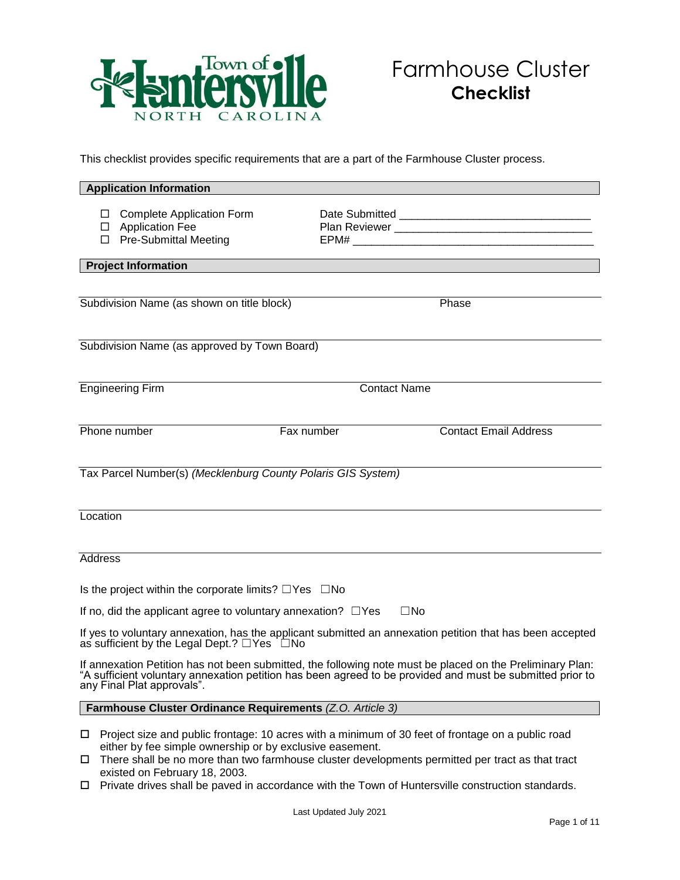

This checklist provides specific requirements that are a part of the Farmhouse Cluster process.

| <b>Application Information</b>                                                                                                                                                                                                                       |            |  |                                                                                                                                                                                                                     |  |
|------------------------------------------------------------------------------------------------------------------------------------------------------------------------------------------------------------------------------------------------------|------------|--|---------------------------------------------------------------------------------------------------------------------------------------------------------------------------------------------------------------------|--|
| $\Box$ Complete Application Form<br>□ Application Fee<br>□ Pre-Submittal Meeting                                                                                                                                                                     |            |  |                                                                                                                                                                                                                     |  |
| <b>Project Information</b>                                                                                                                                                                                                                           |            |  |                                                                                                                                                                                                                     |  |
|                                                                                                                                                                                                                                                      |            |  |                                                                                                                                                                                                                     |  |
| Subdivision Name (as shown on title block)                                                                                                                                                                                                           |            |  | Phase                                                                                                                                                                                                               |  |
|                                                                                                                                                                                                                                                      |            |  |                                                                                                                                                                                                                     |  |
| Subdivision Name (as approved by Town Board)                                                                                                                                                                                                         |            |  |                                                                                                                                                                                                                     |  |
|                                                                                                                                                                                                                                                      |            |  |                                                                                                                                                                                                                     |  |
| <b>Engineering Firm</b><br><b>Contact Name</b>                                                                                                                                                                                                       |            |  |                                                                                                                                                                                                                     |  |
|                                                                                                                                                                                                                                                      |            |  |                                                                                                                                                                                                                     |  |
| Phone number                                                                                                                                                                                                                                         | Fax number |  | <b>Contact Email Address</b>                                                                                                                                                                                        |  |
|                                                                                                                                                                                                                                                      |            |  |                                                                                                                                                                                                                     |  |
| Tax Parcel Number(s) (Mecklenburg County Polaris GIS System)                                                                                                                                                                                         |            |  |                                                                                                                                                                                                                     |  |
|                                                                                                                                                                                                                                                      |            |  |                                                                                                                                                                                                                     |  |
| Location                                                                                                                                                                                                                                             |            |  |                                                                                                                                                                                                                     |  |
|                                                                                                                                                                                                                                                      |            |  |                                                                                                                                                                                                                     |  |
| Address                                                                                                                                                                                                                                              |            |  |                                                                                                                                                                                                                     |  |
|                                                                                                                                                                                                                                                      |            |  |                                                                                                                                                                                                                     |  |
| Is the project within the corporate limits? $\square$ Yes $\square$ No                                                                                                                                                                               |            |  |                                                                                                                                                                                                                     |  |
| If no, did the applicant agree to voluntary annexation? $\Box$ Yes<br>$\square$ No                                                                                                                                                                   |            |  |                                                                                                                                                                                                                     |  |
| If yes to voluntary annexation, has the applicant submitted an annexation petition that has been accepted<br>as sufficient by the Legal Dept.? □Yes DNo                                                                                              |            |  |                                                                                                                                                                                                                     |  |
| If annexation Petition has not been submitted, the following note must be placed on the Preliminary Plan:<br>"A sufficient voluntary annexation petition has been agreed to be provided and must be submitted prior to<br>any Final Plat approvals". |            |  |                                                                                                                                                                                                                     |  |
| Farmhouse Cluster Ordinance Requirements (Z.O. Article 3)                                                                                                                                                                                            |            |  |                                                                                                                                                                                                                     |  |
| either by fee simple ownership or by exclusive easement.                                                                                                                                                                                             |            |  | $\Box$ Project size and public frontage: 10 acres with a minimum of 30 feet of frontage on a public road<br>$\Box$ There shall be no more than two farmhouse cluster developments permitted per tract as that tract |  |

- shall be no more than two farmhouse cluster developments permitted per tract as that tract existed on February 18, 2003.
- □ Private drives shall be paved in accordance with the Town of Huntersville construction standards.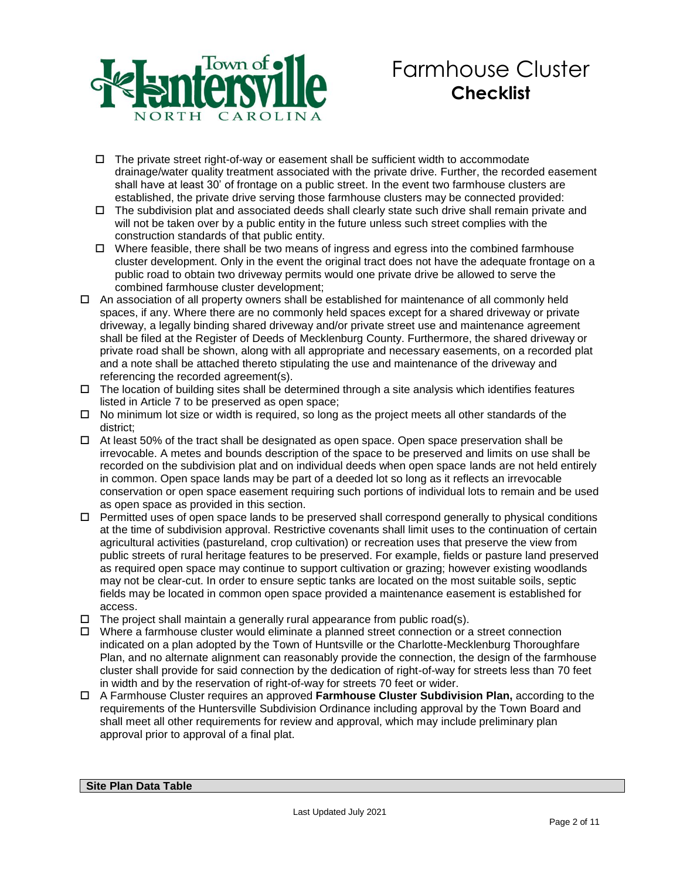

- $\Box$  The private street right-of-way or easement shall be sufficient width to accommodate drainage/water quality treatment associated with the private drive. Further, the recorded easement shall have at least 30' of frontage on a public street. In the event two farmhouse clusters are established, the private drive serving those farmhouse clusters may be connected provided:
- $\Box$  The subdivision plat and associated deeds shall clearly state such drive shall remain private and will not be taken over by a public entity in the future unless such street complies with the construction standards of that public entity.
- $\Box$  Where feasible, there shall be two means of ingress and egress into the combined farmhouse cluster development. Only in the event the original tract does not have the adequate frontage on a public road to obtain two driveway permits would one private drive be allowed to serve the combined farmhouse cluster development;
- $\Box$  An association of all property owners shall be established for maintenance of all commonly held spaces, if any. Where there are no commonly held spaces except for a shared driveway or private driveway, a legally binding shared driveway and/or private street use and maintenance agreement shall be filed at the Register of Deeds of Mecklenburg County. Furthermore, the shared driveway or private road shall be shown, along with all appropriate and necessary easements, on a recorded plat and a note shall be attached thereto stipulating the use and maintenance of the driveway and referencing the recorded agreement(s).
- $\Box$  The location of building sites shall be determined through a site analysis which identifies features listed in Article 7 to be preserved as open space;
- $\Box$  No minimum lot size or width is required, so long as the project meets all other standards of the district;
- At least 50% of the tract shall be designated as open space. Open space preservation shall be irrevocable. A metes and bounds description of the space to be preserved and limits on use shall be recorded on the subdivision plat and on individual deeds when open space lands are not held entirely in common. Open space lands may be part of a deeded lot so long as it reflects an irrevocable conservation or open space easement requiring such portions of individual lots to remain and be used as open space as provided in this section.
- $\Box$  Permitted uses of open space lands to be preserved shall correspond generally to physical conditions at the time of subdivision approval. Restrictive covenants shall limit uses to the continuation of certain agricultural activities (pastureland, crop cultivation) or recreation uses that preserve the view from public streets of rural heritage features to be preserved. For example, fields or pasture land preserved as required open space may continue to support cultivation or grazing; however existing woodlands may not be clear-cut. In order to ensure septic tanks are located on the most suitable soils, septic fields may be located in common open space provided a maintenance easement is established for access.
- $\Box$  The project shall maintain a generally rural appearance from public road(s).
- $\Box$  Where a farmhouse cluster would eliminate a planned street connection or a street connection indicated on a plan adopted by the Town of Huntsville or the Charlotte-Mecklenburg Thoroughfare Plan, and no alternate alignment can reasonably provide the connection, the design of the farmhouse cluster shall provide for said connection by the dedication of right-of-way for streets less than 70 feet in width and by the reservation of right-of-way for streets 70 feet or wider.
- A Farmhouse Cluster requires an approved **Farmhouse Cluster Subdivision Plan,** according to the requirements of the Huntersville Subdivision Ordinance including approval by the Town Board and shall meet all other requirements for review and approval, which may include preliminary plan approval prior to approval of a final plat.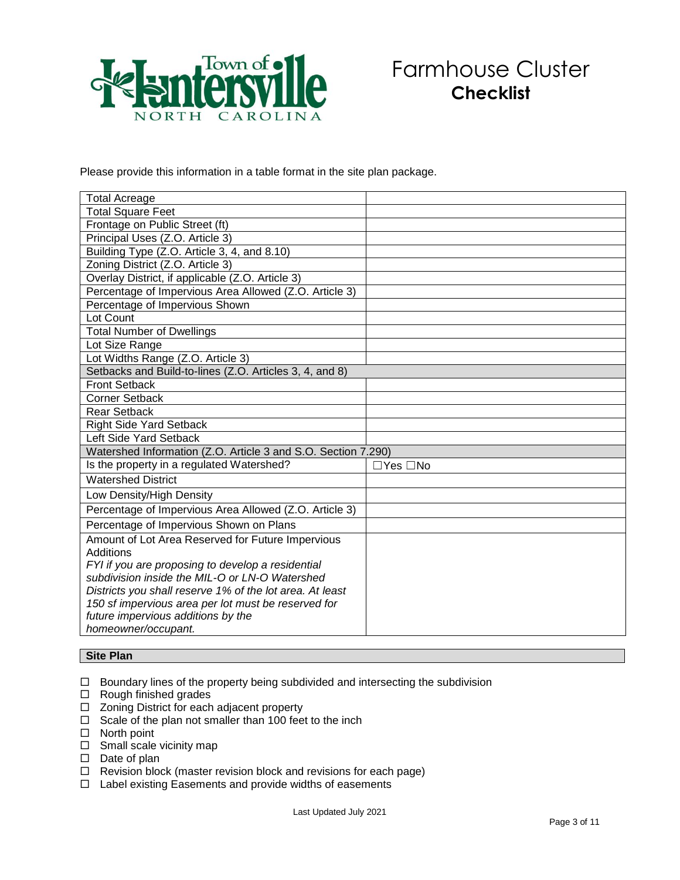

Please provide this information in a table format in the site plan package.

| <b>Total Acreage</b>                                          |          |
|---------------------------------------------------------------|----------|
| <b>Total Square Feet</b>                                      |          |
| Frontage on Public Street (ft)                                |          |
| Principal Uses (Z.O. Article 3)                               |          |
| Building Type (Z.O. Article 3, 4, and 8.10)                   |          |
| Zoning District (Z.O. Article 3)                              |          |
| Overlay District, if applicable (Z.O. Article 3)              |          |
| Percentage of Impervious Area Allowed (Z.O. Article 3)        |          |
| Percentage of Impervious Shown                                |          |
| Lot Count                                                     |          |
| <b>Total Number of Dwellings</b>                              |          |
| Lot Size Range                                                |          |
| Lot Widths Range (Z.O. Article 3)                             |          |
| Setbacks and Build-to-lines (Z.O. Articles 3, 4, and 8)       |          |
| <b>Front Setback</b>                                          |          |
| Corner Setback                                                |          |
| <b>Rear Setback</b>                                           |          |
| <b>Right Side Yard Setback</b>                                |          |
| Left Side Yard Setback                                        |          |
| Watershed Information (Z.O. Article 3 and S.O. Section 7.290) |          |
| Is the property in a regulated Watershed?                     | □Yes □No |
| <b>Watershed District</b>                                     |          |
| Low Density/High Density                                      |          |
| Percentage of Impervious Area Allowed (Z.O. Article 3)        |          |
| Percentage of Impervious Shown on Plans                       |          |
| Amount of Lot Area Reserved for Future Impervious             |          |
| Additions                                                     |          |
| FYI if you are proposing to develop a residential             |          |
| subdivision inside the MIL-O or LN-O Watershed                |          |
| Districts you shall reserve 1% of the lot area. At least      |          |
| 150 sf impervious area per lot must be reserved for           |          |
| future impervious additions by the                            |          |
| homeowner/occupant.                                           |          |

#### **Site Plan**

 $\Box$  Boundary lines of the property being subdivided and intersecting the subdivision

 $\Box$  Rough finished grades

- □ Zoning District for each adjacent property
- $\Box$  Scale of the plan not smaller than 100 feet to the inch
- $\square$  North point
- $\Box$  Small scale vicinity map
- $\square$  Date of plan
- $\Box$  Revision block (master revision block and revisions for each page)
- $\Box$  Label existing Easements and provide widths of easements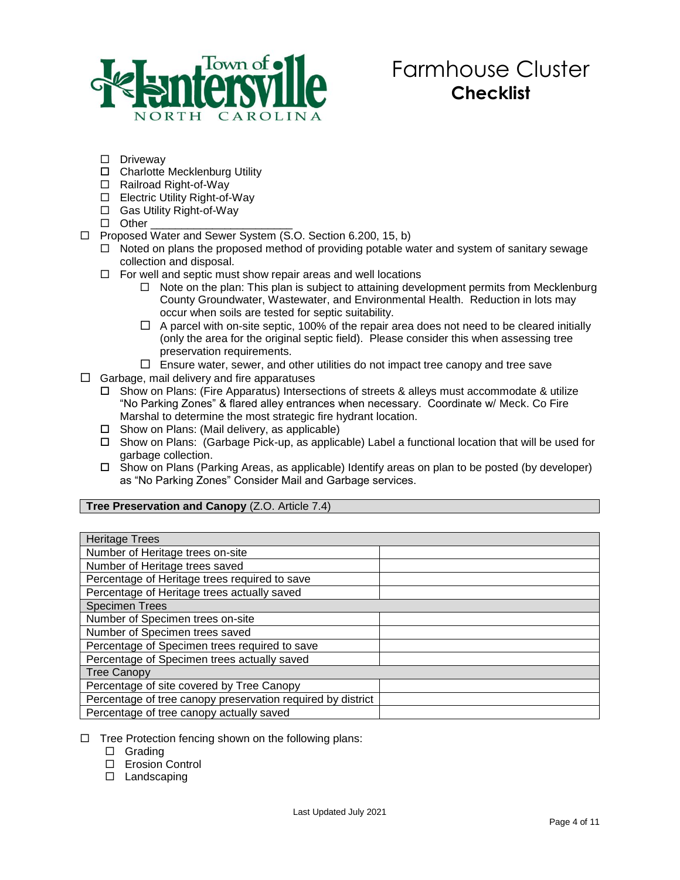

- D Driveway
- □ Charlotte Mecklenburg Utility
- □ Railroad Right-of-Way
- □ Electric Utility Right-of-Way
- □ Gas Utility Right-of-Way
- $\Box$  Other
- □ Proposed Water and Sewer System (S.O. Section 6.200, 15, b)
	- $\Box$  Noted on plans the proposed method of providing potable water and system of sanitary sewage collection and disposal.
	- $\Box$  For well and septic must show repair areas and well locations
		- $\Box$  Note on the plan: This plan is subject to attaining development permits from Mecklenburg County Groundwater, Wastewater, and Environmental Health. Reduction in lots may occur when soils are tested for septic suitability.
		- $\Box$  A parcel with on-site septic, 100% of the repair area does not need to be cleared initially (only the area for the original septic field). Please consider this when assessing tree preservation requirements.
		- $\Box$  Ensure water, sewer, and other utilities do not impact tree canopy and tree save
- $\Box$  Garbage, mail delivery and fire apparatuses
	- □ Show on Plans: (Fire Apparatus) Intersections of streets & alleys must accommodate & utilize "No Parking Zones" & flared alley entrances when necessary. Coordinate w/ Meck. Co Fire Marshal to determine the most strategic fire hydrant location.
	- $\Box$  Show on Plans: (Mail delivery, as applicable)
	- Show on Plans: (Garbage Pick-up, as applicable) Label a functional location that will be used for garbage collection.
	- Show on Plans (Parking Areas, as applicable) Identify areas on plan to be posted (by developer) as "No Parking Zones" Consider Mail and Garbage services.

#### **Tree Preservation and Canopy** (Z.O. Article 7.4)

| <b>Heritage Trees</b>                                       |  |  |
|-------------------------------------------------------------|--|--|
| Number of Heritage trees on-site                            |  |  |
| Number of Heritage trees saved                              |  |  |
| Percentage of Heritage trees required to save               |  |  |
| Percentage of Heritage trees actually saved                 |  |  |
| <b>Specimen Trees</b>                                       |  |  |
| Number of Specimen trees on-site                            |  |  |
| Number of Specimen trees saved                              |  |  |
| Percentage of Specimen trees required to save               |  |  |
| Percentage of Specimen trees actually saved                 |  |  |
| <b>Tree Canopy</b>                                          |  |  |
| Percentage of site covered by Tree Canopy                   |  |  |
| Percentage of tree canopy preservation required by district |  |  |
| Percentage of tree canopy actually saved                    |  |  |

- $\Box$  Tree Protection fencing shown on the following plans:
	- □ Grading
	- □ Erosion Control
	- $\Box$  Landscaping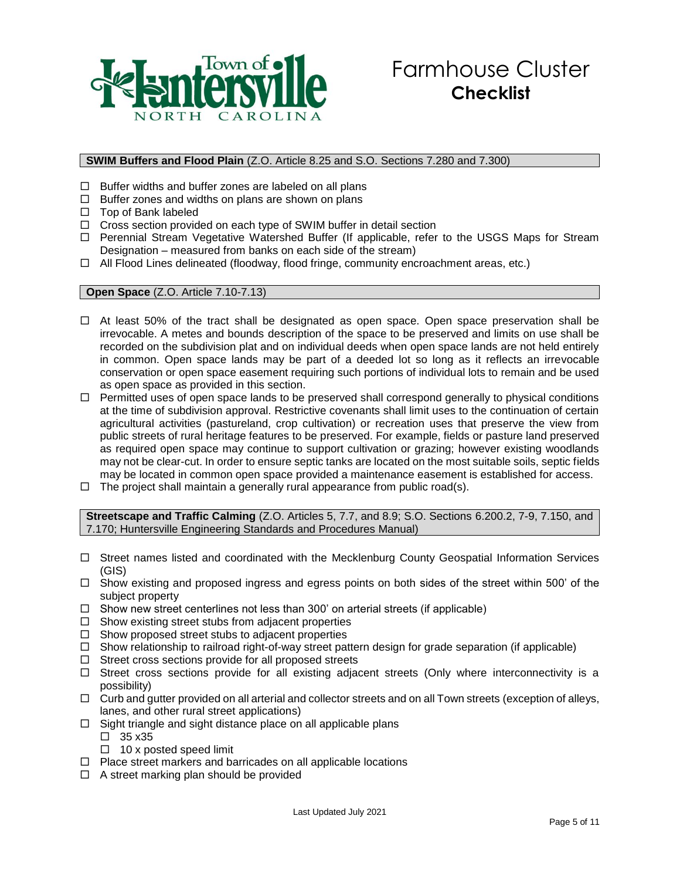

### **SWIM Buffers and Flood Plain** (Z.O. Article 8.25 and S.O. Sections 7.280 and 7.300)

- $\Box$  Buffer widths and buffer zones are labeled on all plans
- $\Box$  Buffer zones and widths on plans are shown on plans
- $\Box$  Top of Bank labeled
- $\Box$  Cross section provided on each type of SWIM buffer in detail section
- $\Box$  Perennial Stream Vegetative Watershed Buffer (If applicable, refer to the USGS Maps for Stream Designation – measured from banks on each side of the stream)
- $\Box$  All Flood Lines delineated (floodway, flood fringe, community encroachment areas, etc.)

#### **Open Space** (Z.O. Article 7.10-7.13)

- $\Box$  At least 50% of the tract shall be designated as open space. Open space preservation shall be irrevocable. A metes and bounds description of the space to be preserved and limits on use shall be recorded on the subdivision plat and on individual deeds when open space lands are not held entirely in common. Open space lands may be part of a deeded lot so long as it reflects an irrevocable conservation or open space easement requiring such portions of individual lots to remain and be used as open space as provided in this section.
- □ Permitted uses of open space lands to be preserved shall correspond generally to physical conditions at the time of subdivision approval. Restrictive covenants shall limit uses to the continuation of certain agricultural activities (pastureland, crop cultivation) or recreation uses that preserve the view from public streets of rural heritage features to be preserved. For example, fields or pasture land preserved as required open space may continue to support cultivation or grazing; however existing woodlands may not be clear-cut. In order to ensure septic tanks are located on the most suitable soils, septic fields may be located in common open space provided a maintenance easement is established for access.
- $\Box$  The project shall maintain a generally rural appearance from public road(s).

**Streetscape and Traffic Calming** (Z.O. Articles 5, 7.7, and 8.9; S.O. Sections 6.200.2, 7-9, 7.150, and 7.170; Huntersville Engineering Standards and Procedures Manual)

- $\Box$  Street names listed and coordinated with the Mecklenburg County Geospatial Information Services (GIS)
- $\Box$  Show existing and proposed ingress and egress points on both sides of the street within 500' of the subject property
- $\Box$  Show new street centerlines not less than 300' on arterial streets (if applicable)
- $\Box$  Show existing street stubs from adjacent properties
- $\Box$  Show proposed street stubs to adjacent properties
- $\Box$  Show relationship to railroad right-of-way street pattern design for grade separation (if applicable)
- $\Box$  Street cross sections provide for all proposed streets
- $\Box$  Street cross sections provide for all existing adjacent streets (Only where interconnectivity is a possibility)
- $\Box$  Curb and gutter provided on all arterial and collector streets and on all Town streets (exception of alleys, lanes, and other rural street applications)
- $\Box$  Sight triangle and sight distance place on all applicable plans
	- $\Box$  35 x 35
	- $\Box$  10 x posted speed limit
- $\Box$  Place street markers and barricades on all applicable locations
- $\Box$  A street marking plan should be provided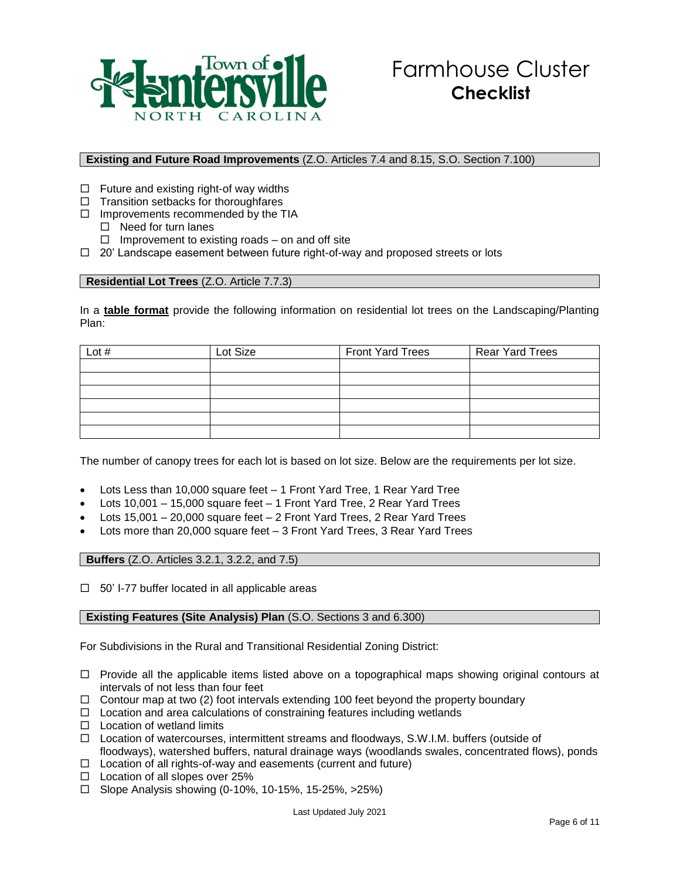

## **Existing and Future Road Improvements** (Z.O. Articles 7.4 and 8.15, S.O. Section 7.100)

- $\Box$  Future and existing right-of way widths
- $\Box$  Transition setbacks for thoroughfares
- $\Box$  Improvements recommended by the TIA
	- $\Box$  Need for turn lanes
	- $\Box$  Improvement to existing roads on and off site
- $\Box$  20' Landscape easement between future right-of-way and proposed streets or lots

### **Residential Lot Trees** (Z.O. Article 7.7.3)

In a **table format** provide the following information on residential lot trees on the Landscaping/Planting Plan:

| Lot $#$ | Lot Size | <b>Front Yard Trees</b> | <b>Rear Yard Trees</b> |
|---------|----------|-------------------------|------------------------|
|         |          |                         |                        |
|         |          |                         |                        |
|         |          |                         |                        |
|         |          |                         |                        |
|         |          |                         |                        |
|         |          |                         |                        |

The number of canopy trees for each lot is based on lot size. Below are the requirements per lot size.

- Lots Less than 10,000 square feet 1 Front Yard Tree, 1 Rear Yard Tree
- Lots 10,001 15,000 square feet 1 Front Yard Tree, 2 Rear Yard Trees
- Lots 15,001 20,000 square feet 2 Front Yard Trees, 2 Rear Yard Trees
- Lots more than 20,000 square feet 3 Front Yard Trees, 3 Rear Yard Trees

**Buffers** (Z.O. Articles 3.2.1, 3.2.2, and 7.5)

 $\Box$  50' I-77 buffer located in all applicable areas

### **Existing Features (Site Analysis) Plan (S.O. Sections 3 and 6.300)**

For Subdivisions in the Rural and Transitional Residential Zoning District:

- $\Box$  Provide all the applicable items listed above on a topographical maps showing original contours at intervals of not less than four feet
- $\Box$  Contour map at two (2) foot intervals extending 100 feet beyond the property boundary
- $\Box$  Location and area calculations of constraining features including wetlands
- $\Pi$  Location of wetland limits
- Location of watercourses, intermittent streams and floodways, S.W.I.M. buffers (outside of floodways), watershed buffers, natural drainage ways (woodlands swales, concentrated flows), ponds
- $\Box$  Location of all rights-of-way and easements (current and future)
- $\square$  Location of all slopes over 25%
- $\Box$  Slope Analysis showing (0-10%, 10-15%, 15-25%, >25%)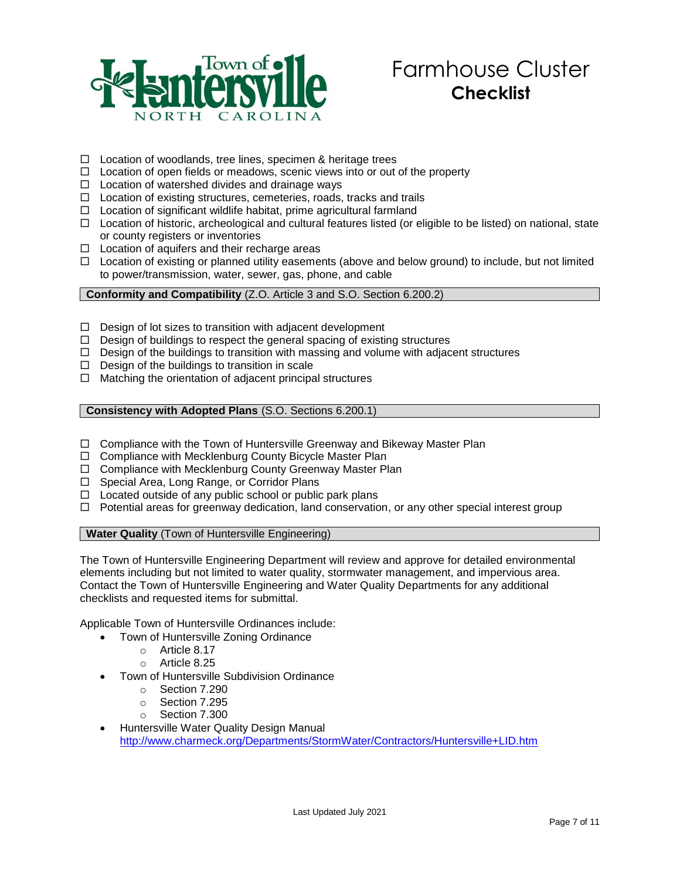

- $\Box$  Location of woodlands, tree lines, specimen & heritage trees
- $\Box$  Location of open fields or meadows, scenic views into or out of the property
- $\Box$  Location of watershed divides and drainage ways
- $\Box$  Location of existing structures, cemeteries, roads, tracks and trails
- $\Box$  Location of significant wildlife habitat, prime agricultural farmland
- $\Box$  Location of historic, archeological and cultural features listed (or eligible to be listed) on national, state or county registers or inventories
- $\Box$  Location of aquifers and their recharge areas
- $\Box$  Location of existing or planned utility easements (above and below ground) to include, but not limited to power/transmission, water, sewer, gas, phone, and cable

**Conformity and Compatibility** (Z.O. Article 3 and S.O. Section 6.200.2)

- $\Box$  Design of lot sizes to transition with adjacent development
- $\Box$  Design of buildings to respect the general spacing of existing structures
- $\Box$  Design of the buildings to transition with massing and volume with adjacent structures
- $\Box$  Design of the buildings to transition in scale
- $\Box$  Matching the orientation of adjacent principal structures

**Consistency with Adopted Plans** (S.O. Sections 6.200.1)

- $\Box$  Compliance with the Town of Huntersville Greenway and Bikeway Master Plan
- $\Box$  Compliance with Mecklenburg County Bicycle Master Plan
- □ Compliance with Mecklenburg County Greenway Master Plan
- □ Special Area, Long Range, or Corridor Plans
- $\Box$  Located outside of any public school or public park plans
- $\Box$  Potential areas for greenway dedication, land conservation, or any other special interest group

**Water Quality** (Town of Huntersville Engineering)

The Town of Huntersville Engineering Department will review and approve for detailed environmental elements including but not limited to water quality, stormwater management, and impervious area. Contact the Town of Huntersville Engineering and Water Quality Departments for any additional checklists and requested items for submittal.

Applicable Town of Huntersville Ordinances include:

- Town of Huntersville Zoning Ordinance
	- o Article 8.17
		- o Article 8.25
- Town of Huntersville Subdivision Ordinance
	- o Section 7.290
	- o Section 7.295
	- o Section 7.300
- Huntersville Water Quality Design Manual <http://www.charmeck.org/Departments/StormWater/Contractors/Huntersville+LID.htm>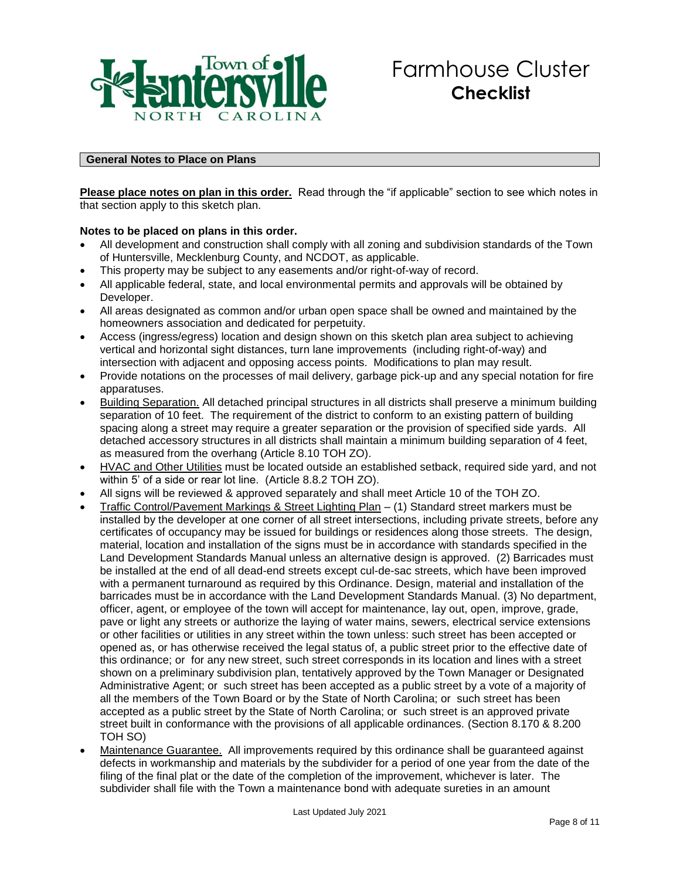

## **General Notes to Place on Plans**

**Please place notes on plan in this order.** Read through the "if applicable" section to see which notes in that section apply to this sketch plan.

#### **Notes to be placed on plans in this order.**

- All development and construction shall comply with all zoning and subdivision standards of the Town of Huntersville, Mecklenburg County, and NCDOT, as applicable.
- This property may be subject to any easements and/or right-of-way of record.
- All applicable federal, state, and local environmental permits and approvals will be obtained by Developer.
- All areas designated as common and/or urban open space shall be owned and maintained by the homeowners association and dedicated for perpetuity.
- Access (ingress/egress) location and design shown on this sketch plan area subject to achieving vertical and horizontal sight distances, turn lane improvements (including right-of-way) and intersection with adjacent and opposing access points. Modifications to plan may result.
- Provide notations on the processes of mail delivery, garbage pick-up and any special notation for fire apparatuses.
- Building Separation. All detached principal structures in all districts shall preserve a minimum building separation of 10 feet. The requirement of the district to conform to an existing pattern of building spacing along a street may require a greater separation or the provision of specified side yards. All detached accessory structures in all districts shall maintain a minimum building separation of 4 feet, as measured from the overhang (Article 8.10 TOH ZO).
- HVAC and Other Utilities must be located outside an established setback, required side yard, and not within 5' of a side or rear lot line. (Article 8.8.2 TOH ZO).
- All signs will be reviewed & approved separately and shall meet Article 10 of the TOH ZO.
- Traffic Control/Pavement Markings & Street Lighting Plan (1) Standard street markers must be installed by the developer at one corner of all street intersections, including private streets, before any certificates of occupancy may be issued for buildings or residences along those streets. The design, material, location and installation of the signs must be in accordance with standards specified in the Land Development Standards Manual unless an alternative design is approved. (2) Barricades must be installed at the end of all dead-end streets except cul-de-sac streets, which have been improved with a permanent turnaround as required by this Ordinance. Design, material and installation of the barricades must be in accordance with the Land Development Standards Manual. (3) No department, officer, agent, or employee of the town will accept for maintenance, lay out, open, improve, grade, pave or light any streets or authorize the laying of water mains, sewers, electrical service extensions or other facilities or utilities in any street within the town unless: such street has been accepted or opened as, or has otherwise received the legal status of, a public street prior to the effective date of this ordinance; or for any new street, such street corresponds in its location and lines with a street shown on a preliminary subdivision plan, tentatively approved by the Town Manager or Designated Administrative Agent; or such street has been accepted as a public street by a vote of a majority of all the members of the Town Board or by the State of North Carolina; or such street has been accepted as a public street by the State of North Carolina; or such street is an approved private street built in conformance with the provisions of all applicable ordinances. (Section 8.170 & 8.200 TOH SO)
- Maintenance Guarantee. All improvements required by this ordinance shall be guaranteed against defects in workmanship and materials by the subdivider for a period of one year from the date of the filing of the final plat or the date of the completion of the improvement, whichever is later. The subdivider shall file with the Town a maintenance bond with adequate sureties in an amount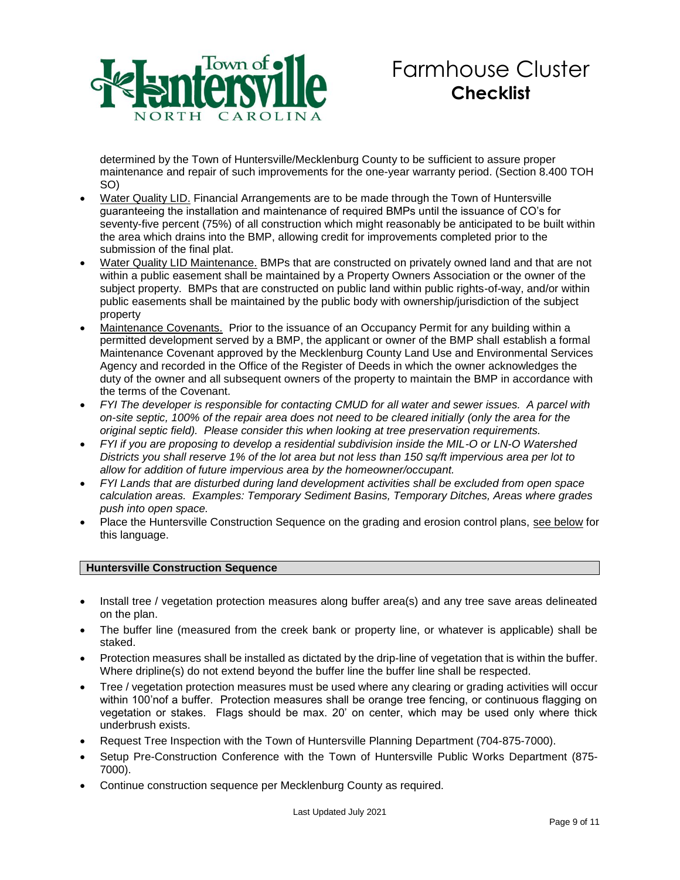

determined by the Town of Huntersville/Mecklenburg County to be sufficient to assure proper maintenance and repair of such improvements for the one-year warranty period. (Section 8.400 TOH SO)

- Water Quality LID. Financial Arrangements are to be made through the Town of Huntersville guaranteeing the installation and maintenance of required BMPs until the issuance of CO's for seventy-five percent (75%) of all construction which might reasonably be anticipated to be built within the area which drains into the BMP, allowing credit for improvements completed prior to the submission of the final plat.
- Water Quality LID Maintenance. BMPs that are constructed on privately owned land and that are not within a public easement shall be maintained by a Property Owners Association or the owner of the subject property. BMPs that are constructed on public land within public rights-of-way, and/or within public easements shall be maintained by the public body with ownership/jurisdiction of the subject property
- Maintenance Covenants. Prior to the issuance of an Occupancy Permit for any building within a permitted development served by a BMP, the applicant or owner of the BMP shall establish a formal Maintenance Covenant approved by the Mecklenburg County Land Use and Environmental Services Agency and recorded in the Office of the Register of Deeds in which the owner acknowledges the duty of the owner and all subsequent owners of the property to maintain the BMP in accordance with the terms of the Covenant.
- *FYI The developer is responsible for contacting CMUD for all water and sewer issues. A parcel with on-site septic, 100% of the repair area does not need to be cleared initially (only the area for the original septic field). Please consider this when looking at tree preservation requirements.*
- *FYI if you are proposing to develop a residential subdivision inside the MIL-O or LN-O Watershed Districts you shall reserve 1% of the lot area but not less than 150 sq/ft impervious area per lot to allow for addition of future impervious area by the homeowner/occupant.*
- *FYI Lands that are disturbed during land development activities shall be excluded from open space calculation areas. Examples: Temporary Sediment Basins, Temporary Ditches, Areas where grades push into open space.*
- Place the Huntersville Construction Sequence on the grading and erosion control plans, see below for this language.

# **Huntersville Construction Sequence**

- Install tree / vegetation protection measures along buffer area(s) and any tree save areas delineated on the plan.
- The buffer line (measured from the creek bank or property line, or whatever is applicable) shall be staked.
- Protection measures shall be installed as dictated by the drip-line of vegetation that is within the buffer. Where dripline(s) do not extend beyond the buffer line the buffer line shall be respected.
- Tree / vegetation protection measures must be used where any clearing or grading activities will occur within 100'nof a buffer. Protection measures shall be orange tree fencing, or continuous flagging on vegetation or stakes. Flags should be max. 20' on center, which may be used only where thick underbrush exists.
- Request Tree Inspection with the Town of Huntersville Planning Department (704-875-7000).
- Setup Pre-Construction Conference with the Town of Huntersville Public Works Department (875- 7000).
- Continue construction sequence per Mecklenburg County as required.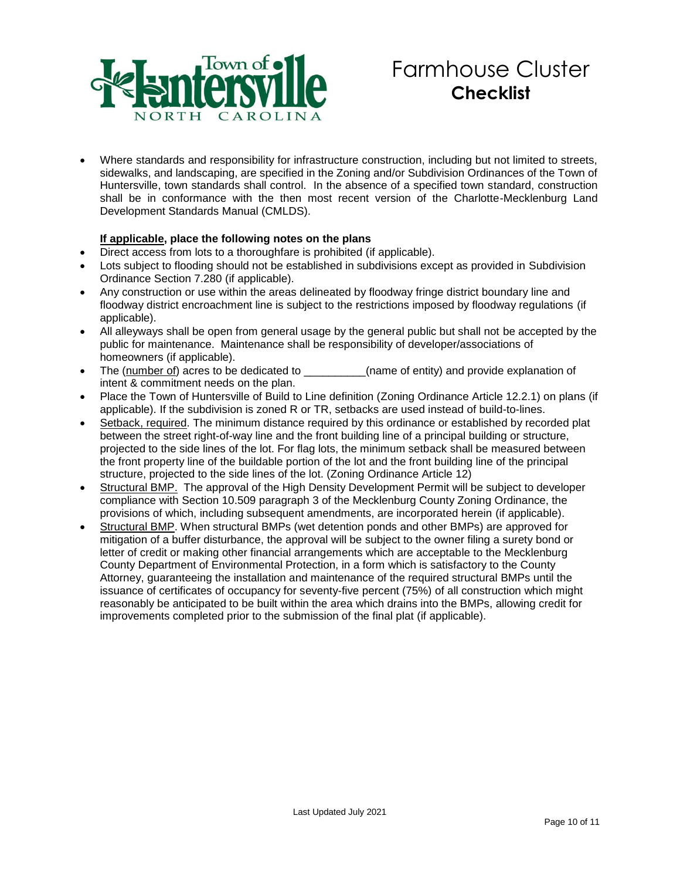

 Where standards and responsibility for infrastructure construction, including but not limited to streets, sidewalks, and landscaping, are specified in the Zoning and/or Subdivision Ordinances of the Town of Huntersville, town standards shall control. In the absence of a specified town standard, construction shall be in conformance with the then most recent version of the Charlotte-Mecklenburg Land Development Standards Manual (CMLDS).

# **If applicable, place the following notes on the plans**

- Direct access from lots to a thoroughfare is prohibited (if applicable).
- Lots subject to flooding should not be established in subdivisions except as provided in Subdivision Ordinance Section 7.280 (if applicable).
- Any construction or use within the areas delineated by floodway fringe district boundary line and floodway district encroachment line is subject to the restrictions imposed by floodway regulations (if applicable).
- All alleyways shall be open from general usage by the general public but shall not be accepted by the public for maintenance. Maintenance shall be responsibility of developer/associations of homeowners (if applicable).
- The (number of) acres to be dedicated to  $\qquad \qquad$  (name of entity) and provide explanation of intent & commitment needs on the plan.
- Place the Town of Huntersville of Build to Line definition (Zoning Ordinance Article 12.2.1) on plans (if applicable). If the subdivision is zoned R or TR, setbacks are used instead of build-to-lines.
- Setback, required. The minimum distance required by this ordinance or established by recorded plat between the street right-of-way line and the front building line of a principal building or structure, projected to the side lines of the lot. For flag lots, the minimum setback shall be measured between the front property line of the buildable portion of the lot and the front building line of the principal structure, projected to the side lines of the lot. (Zoning Ordinance Article 12)
- Structural BMP. The approval of the High Density Development Permit will be subject to developer compliance with Section 10.509 paragraph 3 of the Mecklenburg County Zoning Ordinance, the provisions of which, including subsequent amendments, are incorporated herein (if applicable).
- Structural BMP. When structural BMPs (wet detention ponds and other BMPs) are approved for mitigation of a buffer disturbance, the approval will be subject to the owner filing a surety bond or letter of credit or making other financial arrangements which are acceptable to the Mecklenburg County Department of Environmental Protection, in a form which is satisfactory to the County Attorney, guaranteeing the installation and maintenance of the required structural BMPs until the issuance of certificates of occupancy for seventy-five percent (75%) of all construction which might reasonably be anticipated to be built within the area which drains into the BMPs, allowing credit for improvements completed prior to the submission of the final plat (if applicable).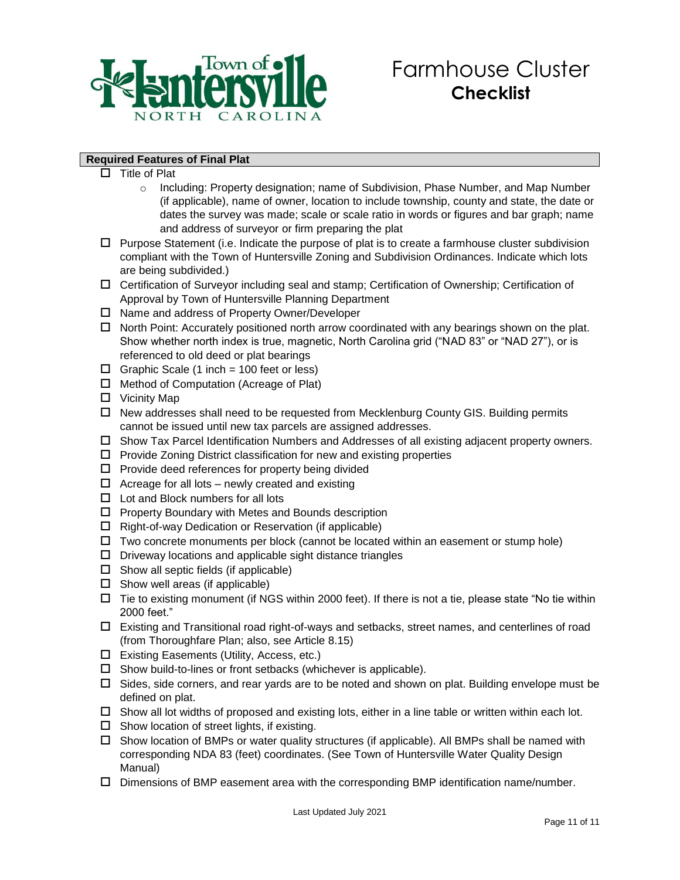

## **Required Features of Final Plat**

- $\square$  Title of Plat
	- o Including: Property designation; name of Subdivision, Phase Number, and Map Number (if applicable), name of owner, location to include township, county and state, the date or dates the survey was made; scale or scale ratio in words or figures and bar graph; name and address of surveyor or firm preparing the plat
- $\Box$  Purpose Statement (i.e. Indicate the purpose of plat is to create a farmhouse cluster subdivision compliant with the Town of Huntersville Zoning and Subdivision Ordinances. Indicate which lots are being subdivided.)
- Certification of Surveyor including seal and stamp; Certification of Ownership; Certification of Approval by Town of Huntersville Planning Department
- $\square$  Name and address of Property Owner/Developer
- $\Box$  North Point: Accurately positioned north arrow coordinated with any bearings shown on the plat. Show whether north index is true, magnetic, North Carolina grid ("NAD 83" or "NAD 27"), or is referenced to old deed or plat bearings
- $\Box$  Graphic Scale (1 inch = 100 feet or less)
- $\Box$  Method of Computation (Acreage of Plat)
- $\square$  Vicinity Map
- $\Box$  New addresses shall need to be requested from Mecklenburg County GIS. Building permits cannot be issued until new tax parcels are assigned addresses.
- $\Box$  Show Tax Parcel Identification Numbers and Addresses of all existing adjacent property owners.
- $\Box$  Provide Zoning District classification for new and existing properties
- $\square$  Provide deed references for property being divided
- $\Box$  Acreage for all lots newly created and existing
- $\Box$  Lot and Block numbers for all lots
- $\Box$  Property Boundary with Metes and Bounds description
- $\Box$  Right-of-way Dedication or Reservation (if applicable)
- $\Box$  Two concrete monuments per block (cannot be located within an easement or stump hole)
- $\Box$  Driveway locations and applicable sight distance triangles
- $\square$  Show all septic fields (if applicable)
- $\Box$  Show well areas (if applicable)
- $\Box$  Tie to existing monument (if NGS within 2000 feet). If there is not a tie, please state "No tie within 2000 feet."
- Existing and Transitional road right-of-ways and setbacks, street names, and centerlines of road (from Thoroughfare Plan; also, see Article 8.15)
- Existing Easements (Utility, Access, etc.)
- $\square$  Show build-to-lines or front setbacks (whichever is applicable).
- $\Box$  Sides, side corners, and rear yards are to be noted and shown on plat. Building envelope must be defined on plat.
- $\Box$  Show all lot widths of proposed and existing lots, either in a line table or written within each lot.
- $\square$  Show location of street lights, if existing.
- $\Box$  Show location of BMPs or water quality structures (if applicable). All BMPs shall be named with corresponding NDA 83 (feet) coordinates. (See Town of Huntersville Water Quality Design Manual)
- $\square$  Dimensions of BMP easement area with the corresponding BMP identification name/number.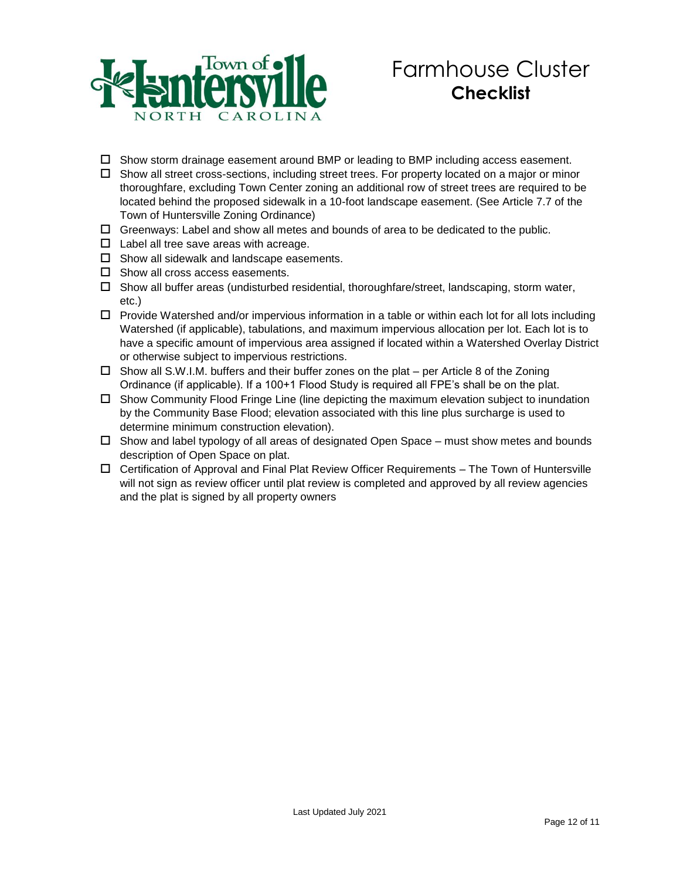

- $\Box$  Show storm drainage easement around BMP or leading to BMP including access easement.
- $\Box$  Show all street cross-sections, including street trees. For property located on a major or minor thoroughfare, excluding Town Center zoning an additional row of street trees are required to be located behind the proposed sidewalk in a 10-foot landscape easement. (See Article 7.7 of the Town of Huntersville Zoning Ordinance)
- $\Box$  Greenways: Label and show all metes and bounds of area to be dedicated to the public.
- $\Box$  Label all tree save areas with acreage.
- $\Box$  Show all sidewalk and landscape easements.
- $\square$  Show all cross access easements.
- $\Box$  Show all buffer areas (undisturbed residential, thoroughfare/street, landscaping, storm water, etc.)
- $\Box$  Provide Watershed and/or impervious information in a table or within each lot for all lots including Watershed (if applicable), tabulations, and maximum impervious allocation per lot. Each lot is to have a specific amount of impervious area assigned if located within a Watershed Overlay District or otherwise subject to impervious restrictions.
- $\Box$  Show all S.W.I.M. buffers and their buffer zones on the plat per Article 8 of the Zoning Ordinance (if applicable). If a 100+1 Flood Study is required all FPE's shall be on the plat.
- $\Box$  Show Community Flood Fringe Line (line depicting the maximum elevation subject to inundation by the Community Base Flood; elevation associated with this line plus surcharge is used to determine minimum construction elevation).
- $\Box$  Show and label typology of all areas of designated Open Space must show metes and bounds description of Open Space on plat.
- $\Box$  Certification of Approval and Final Plat Review Officer Requirements The Town of Huntersville will not sign as review officer until plat review is completed and approved by all review agencies and the plat is signed by all property owners